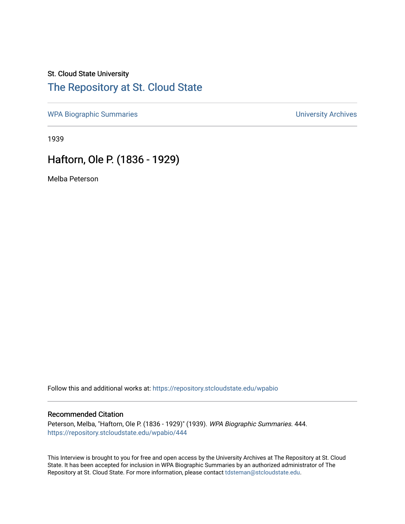### St. Cloud State University

### [The Repository at St. Cloud State](https://repository.stcloudstate.edu/)

[WPA Biographic Summaries](https://repository.stcloudstate.edu/wpabio) **WPA Biographic Summaries University Archives** 

1939

## Haftorn, Ole P. (1836 - 1929)

Melba Peterson

Follow this and additional works at: [https://repository.stcloudstate.edu/wpabio](https://repository.stcloudstate.edu/wpabio?utm_source=repository.stcloudstate.edu%2Fwpabio%2F444&utm_medium=PDF&utm_campaign=PDFCoverPages) 

#### Recommended Citation

Peterson, Melba, "Haftorn, Ole P. (1836 - 1929)" (1939). WPA Biographic Summaries. 444. [https://repository.stcloudstate.edu/wpabio/444](https://repository.stcloudstate.edu/wpabio/444?utm_source=repository.stcloudstate.edu%2Fwpabio%2F444&utm_medium=PDF&utm_campaign=PDFCoverPages) 

This Interview is brought to you for free and open access by the University Archives at The Repository at St. Cloud State. It has been accepted for inclusion in WPA Biographic Summaries by an authorized administrator of The Repository at St. Cloud State. For more information, please contact [tdsteman@stcloudstate.edu.](mailto:tdsteman@stcloudstate.edu)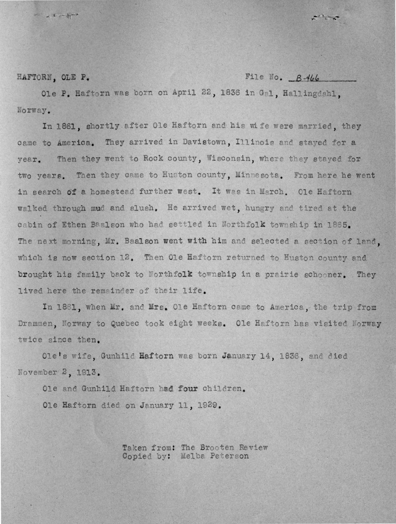$-1 + - 5 - 1$ 

**HAFTORM. OLE P.** PLIE NO. B-466

معلم المجرسة

Ole P. Haftorn was born on April 22, 1836 in Gal, Hallingdahl, **<sup>a</sup>**orway • .

In 1861, shortly after Ole Haftorn and his wife were married, they came to America. They arrived in Davistown, Illinois and stayed for a year. Then they went to Rock county, Wisconsin, where they stayed for two years. Then they came to Huston county, Minnesota. From here he went in search of a homestead further west. It was in March. Ole Haftorn walked through mud and slush. He arrived wet, hungry and tired at the cabin of Ethen Baalson who had settled in Northfolk township in 1865. The next morning, Mr. Baalson went with him and selected a section of land. which is now section 12. Then Ole Haftorn returned to Huston county and brought his family back to Northfolk township in a prairie schooner. They lived here the remainder of their life.

In 1861, when Mr. and Mrs. Ole Haftorn came to America, the trip from Drammen. Norway to Quebec took eight weeks. Ole Haftorn has visited Norway twice since then.

Ole's wife. Gunhild Haftorn was born January 14, 1836, and died November 2, 1913.

Ole and Gunhild Haftorn had four children. Ole Haftorn died on January 11, 1929.

> Taken from: The Brooten Review Copied by: Melba Peterson